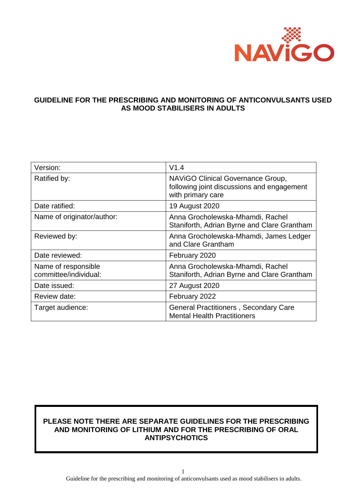

## **GUIDELINE FOR THE PRESCRIBING AND MONITORING OF ANTICONVULSANTS USED AS MOOD STABILISERS IN ADULTS**

| Version:                                     | V1.4                                                                                                 |
|----------------------------------------------|------------------------------------------------------------------------------------------------------|
| Ratified by:                                 | NAVIGO Clinical Governance Group,<br>following joint discussions and engagement<br>with primary care |
| Date ratified:                               | 19 August 2020                                                                                       |
| Name of originator/author:                   | Anna Grocholewska-Mhamdi, Rachel<br>Staniforth, Adrian Byrne and Clare Grantham                      |
| Reviewed by:                                 | Anna Grocholewska-Mhamdi, James Ledger<br>and Clare Grantham                                         |
| Date reviewed:                               | February 2020                                                                                        |
| Name of responsible<br>committee/individual: | Anna Grocholewska-Mhamdi, Rachel<br>Staniforth, Adrian Byrne and Clare Grantham                      |
| Date issued:                                 | 27 August 2020                                                                                       |
| Review date:                                 | February 2022                                                                                        |
| Target audience:                             | <b>General Practitioners, Secondary Care</b><br><b>Mental Health Practitioners</b>                   |

## **PLEASE NOTE THERE ARE SEPARATE GUIDELINES FOR THE PRESCRIBING AND MONITORING OF LITHIUM AND FOR THE PRESCRIBING OF ORAL ANTIPSYCHOTICS**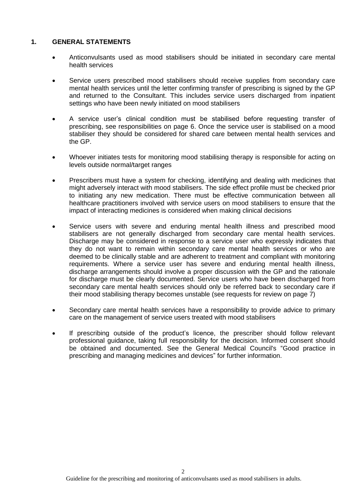#### **1. GENERAL STATEMENTS**

- Anticonvulsants used as mood stabilisers should be initiated in secondary care mental health services
- Service users prescribed mood stabilisers should receive supplies from secondary care mental health services until the letter confirming transfer of prescribing is signed by the GP and returned to the Consultant. This includes service users discharged from inpatient settings who have been newly initiated on mood stabilisers
- A service user's clinical condition must be stabilised before requesting transfer of prescribing, see responsibilities on page 6. Once the service user is stabilised on a mood stabiliser they should be considered for shared care between mental health services and the GP.
- Whoever initiates tests for monitoring mood stabilising therapy is responsible for acting on levels outside normal/target ranges
- Prescribers must have a system for checking, identifying and dealing with medicines that might adversely interact with mood stabilisers. The side effect profile must be checked prior to initiating any new medication. There must be effective communication between all healthcare practitioners involved with service users on mood stabilisers to ensure that the impact of interacting medicines is considered when making clinical decisions
- Service users with severe and enduring mental health illness and prescribed mood stabilisers are not generally discharged from secondary care mental health services. Discharge may be considered in response to a service user who expressly indicates that they do not want to remain within secondary care mental health services or who are deemed to be clinically stable and are adherent to treatment and compliant with monitoring requirements. Where a service user has severe and enduring mental health illness, discharge arrangements should involve a proper discussion with the GP and the rationale for discharge must be clearly documented. Service users who have been discharged from secondary care mental health services should only be referred back to secondary care if their mood stabilising therapy becomes unstable (see requests for review on page 7)
- Secondary care mental health services have a responsibility to provide advice to primary care on the management of service users treated with mood stabilisers
- If prescribing outside of the product's licence, the prescriber should follow relevant professional guidance, taking full responsibility for the decision. Informed consent should be obtained and documented. See the General Medical Council's "Good practice in prescribing and managing medicines and devices" for further information.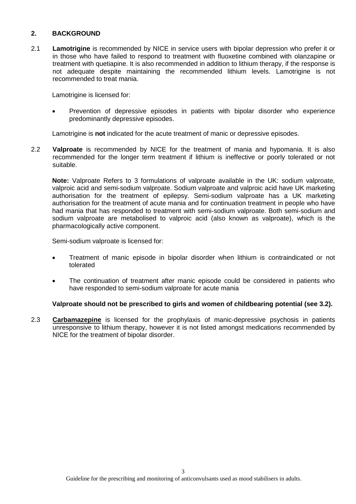### **2. BACKGROUND**

2.1 **Lamotrigine** is recommended by NICE in service users with bipolar depression who prefer it or in those who have failed to respond to treatment with fluoxetine combined with olanzapine or treatment with quetiapine. It is also recommended in addition to lithium therapy, if the response is not adequate despite maintaining the recommended lithium levels. Lamotrigine is not recommended to treat mania.

Lamotrigine is licensed for:

 Prevention of depressive episodes in patients with bipolar disorder who experience predominantly depressive episodes.

Lamotrigine is **not** indicated for the acute treatment of manic or depressive episodes.

2.2 **Valproate** is recommended by NICE for the treatment of mania and hypomania. It is also recommended for the longer term treatment if lithium is ineffective or poorly tolerated or not suitable.

**Note:** Valproate Refers to 3 formulations of valproate available in the UK: sodium valproate, valproic acid and semi-sodium valproate. Sodium valproate and valproic acid have UK marketing authorisation for the treatment of epilepsy. Semi-sodium valproate has a UK marketing authorisation for the treatment of acute mania and for continuation treatment in people who have had mania that has responded to treatment with semi-sodium valproate. Both semi-sodium and sodium valproate are metabolised to valproic acid (also known as valproate), which is the pharmacologically active component.

Semi-sodium valproate is licensed for:

- Treatment of manic episode in bipolar disorder when lithium is contraindicated or not tolerated
- The continuation of treatment after manic episode could be considered in patients who have responded to semi-sodium valproate for acute mania

#### **Valproate should not be prescribed to girls and women of childbearing potential (see 3.2).**

2.3 **Carbamazepine** is licensed for the prophylaxis of manic-depressive psychosis in patients unresponsive to lithium therapy, however it is not listed amongst medications recommended by NICE for the treatment of bipolar disorder.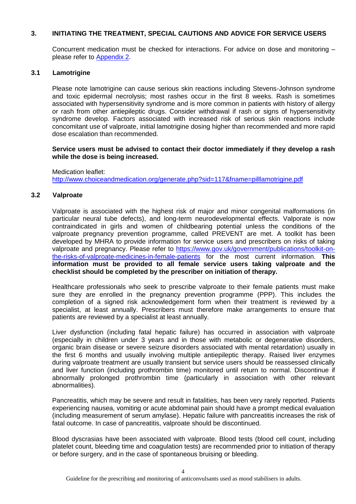## **3. INITIATING THE TREATMENT, SPECIAL CAUTIONS AND ADVICE FOR SERVICE USERS**

Concurrent medication must be checked for interactions. For advice on dose and monitoring – please refer to [Appendix 2.](#page-10-0)

#### **3.1 Lamotrigine**

Please note lamotrigine can cause serious skin reactions including Stevens-Johnson syndrome and toxic epidermal necrolysis; most rashes occur in the first 8 weeks. Rash is sometimes associated with hypersensitivity syndrome and is more common in patients with history of allergy or rash from other antiepileptic drugs. Consider withdrawal if rash or signs of hypersensitivity syndrome develop. Factors associated with increased risk of serious skin reactions include concomitant use of valproate, initial lamotrigine dosing higher than recommended and more rapid dose escalation than recommended.

#### **Service users must be advised to contact their doctor immediately if they develop a rash while the dose is being increased.**

Medication leaflet: <http://www.choiceandmedication.org/generate.php?sid=117&fname=pilllamotrigine.pdf>

#### **3.2 Valproate**

Valproate is associated with the highest risk of major and minor congenital malformations (in particular neural tube defects), and long-term neurodevelopmental effects. Valporate is now contraindicated in girls and women of childbearing potential unless the conditions of the valproate pregnancy prevention programme, called PREVENT are met. A toolkit has been developed by MHRA to provide information for service users and prescribers on risks of taking valproate and pregnancy. Please refer to [https://www.gov.uk/government/publications/toolkit-on](https://www.gov.uk/government/publications/toolkit-on-the-risks-of-valproate-medicines-in-female-patients)[the-risks-of-valproate-medicines-in-female-patients](https://www.gov.uk/government/publications/toolkit-on-the-risks-of-valproate-medicines-in-female-patients) for the most current information. **This information must be provided to all female service users taking valproate and the checklist should be completed by the prescriber on initiation of therapy.** 

Healthcare professionals who seek to prescribe valproate to their female patients must make sure they are enrolled in the pregnancy prevention programme (PPP). This includes the completion of a signed risk acknowledgement form when their treatment is reviewed by a specialist, at least annually. Prescribers must therefore make arrangements to ensure that patients are reviewed by a specialist at least annually.

Liver dysfunction (including fatal hepatic failure) has occurred in association with valproate (especially in children under 3 years and in those with metabolic or degenerative disorders, organic brain disease or severe seizure disorders associated with mental retardation) usually in the first 6 months and usually involving multiple antiepileptic therapy. Raised liver enzymes during valproate treatment are usually transient but service users should be reassessed clinically and liver function (including prothrombin time) monitored until return to normal. Discontinue if abnormally prolonged prothrombin time (particularly in association with other relevant abnormalities).

Pancreatitis, which may be severe and result in fatalities, has been very rarely reported. Patients experiencing nausea, vomiting or acute abdominal pain should have a prompt medical evaluation (including measurement of serum amylase). Hepatic failure with pancreatitis increases the risk of fatal outcome. In case of pancreatitis, valproate should be discontinued.

Blood dyscrasias have been associated with valproate. Blood tests (blood cell count, including platelet count, bleeding time and coagulation tests) are recommended prior to initiation of therapy or before surgery, and in the case of spontaneous bruising or bleeding.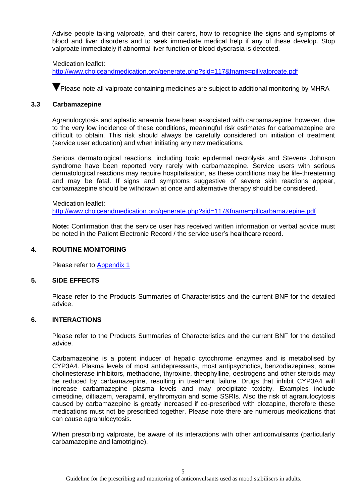Advise people taking valproate, and their carers, how to recognise the signs and symptoms of blood and liver disorders and to seek immediate medical help if any of these develop. Stop valproate immediately if abnormal liver function or blood dyscrasia is detected.

#### Medication leaflet:

<http://www.choiceandmedication.org/generate.php?sid=117&fname=pillvalproate.pdf>

**V** Please note all valproate containing medicines are subject to additional monitoring by MHRA

#### **3.3 Carbamazepine**

Agranulocytosis and aplastic anaemia have been associated with carbamazepine; however, due to the very low incidence of these conditions, meaningful risk estimates for carbamazepine are difficult to obtain. This risk should always be carefully considered on initiation of treatment (service user education) and when initiating any new medications.

Serious dermatological reactions, including toxic epidermal necrolysis and Stevens Johnson syndrome have been reported very rarely with carbamazepine. Service users with serious dermatological reactions may require hospitalisation, as these conditions may be life-threatening and may be fatal. If signs and symptoms suggestive of severe skin reactions appear, carbamazepine should be withdrawn at once and alternative therapy should be considered.

Medication leaflet: <http://www.choiceandmedication.org/generate.php?sid=117&fname=pillcarbamazepine.pdf>

**Note:** Confirmation that the service user has received written information or verbal advice must be noted in the Patient Electronic Record / the service user's healthcare record.

#### **4. ROUTINE MONITORING**

Please refer to [Appendix 1](#page-8-0)

#### **5. SIDE EFFECTS**

Please refer to the Products Summaries of Characteristics and the current BNF for the detailed advice.

#### **6. INTERACTIONS**

Please refer to the Products Summaries of Characteristics and the current BNF for the detailed advice.

Carbamazepine is a potent inducer of hepatic cytochrome enzymes and is metabolised by CYP3A4. Plasma levels of most antidepressants, most antipsychotics, benzodiazepines, some cholinesterase inhibitors, methadone, thyroxine, theophylline, oestrogens and other steroids may be reduced by carbamazepine, resulting in treatment failure. Drugs that inhibit CYP3A4 will increase carbamazepine plasma levels and may precipitate toxicity. Examples include cimetidine, diltiazem, verapamil, erythromycin and some SSRIs. Also the risk of agranulocytosis caused by carbamazepine is greatly increased if co-prescribed with clozapine, therefore these medications must not be prescribed together. Please note there are numerous medications that can cause agranulocytosis.

When prescribing valproate, be aware of its interactions with other anticonvulsants (particularly carbamazepine and lamotrigine).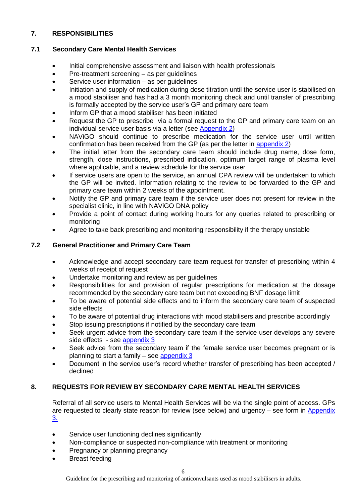## **7. RESPONSIBILITIES**

## **7.1 Secondary Care Mental Health Services**

- Initial comprehensive assessment and liaison with health professionals
- Pre-treatment screening as per guidelines
- Service user information as per guidelines
- Initiation and supply of medication during dose titration until the service user is stabilised on a mood stabiliser and has had a 3 month monitoring check and until transfer of prescribing is formally accepted by the service user's GP and primary care team
- Inform GP that a mood stabiliser has been initiated
- Request the GP to prescribe via a formal request to the GP and primary care team on an individual service user basis via a letter (see [Appendix 2\)](#page-10-0)
- NAViGO should continue to prescribe medication for the service user until written confirmation has been received from the GP (as per the letter in [appendix 2\)](#page-10-0)
- The initial letter from the secondary care team should include drug name, dose form, strength, dose instructions, prescribed indication, optimum target range of plasma level where applicable, and a review schedule for the service user
- If service users are open to the service, an annual CPA review will be undertaken to which the GP will be invited. Information relating to the review to be forwarded to the GP and primary care team within 2 weeks of the appointment.
- Notify the GP and primary care team if the service user does not present for review in the specialist clinic, in line with NAViGO DNA policy
- Provide a point of contact during working hours for any queries related to prescribing or monitoring
- Agree to take back prescribing and monitoring responsibility if the therapy unstable

## **7.2 General Practitioner and Primary Care Team**

- Acknowledge and accept secondary care team request for transfer of prescribing within 4 weeks of receipt of request
- Undertake monitoring and review as per quidelines
- Responsibilities for and provision of regular prescriptions for medication at the dosage recommended by the secondary care team but not exceeding BNF dosage limit
- To be aware of potential side effects and to inform the secondary care team of suspected side effects
- To be aware of potential drug interactions with mood stabilisers and prescribe accordingly
- Stop issuing prescriptions if notified by the secondary care team
- Seek urgent advice from the secondary care team if the service user develops any severe side effects - see [appendix 3](#page-13-0)
- Seek advice from the secondary team if the female service user becomes pregnant or is planning to start a family  $-$  see appendix  $3$
- Document in the service user's record whether transfer of prescribing has been accepted / declined

## **8. REQUESTS FOR REVIEW BY SECONDARY CARE MENTAL HEALTH SERVICES**

Referral of all service users to Mental Health Services will be via the single point of access. GPs are requested to clearly state reason for review (see below) and urgency – see form in [Appendix](#page-13-0)  [3.](#page-13-0)

- Service user functioning declines significantly
- Non-compliance or suspected non-compliance with treatment or monitoring
- Pregnancy or planning pregnancy
- Breast feeding

Guideline for the prescribing and monitoring of anticonvulsants used as mood stabilisers in adults.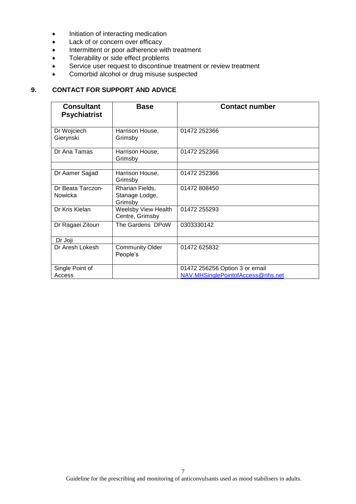- Initiation of interacting medication
- Lack of or concern over efficacy
- Intermittent or poor adherence with treatment
- Tolerability or side effect problems
- Service user request to discontinue treatment or review treatment
- Comorbid alcohol or drug misuse suspected

## **9. CONTACT FOR SUPPORT AND ADVICE**

| <b>Consultant</b><br><b>Psychiatrist</b> | <b>Base</b>                                  | <b>Contact number</b>                                               |
|------------------------------------------|----------------------------------------------|---------------------------------------------------------------------|
| Dr Wojciech<br>Gierynski                 | Harrison House,<br>Grimsby                   | 01472 252366                                                        |
| Dr Ana Tamas                             | Harrison House,<br>Grimsby                   | 01472 252366                                                        |
| Dr Aamer Sajjad                          | Harrison House,                              | 01472 252366                                                        |
|                                          | Grimsby                                      |                                                                     |
| Dr Beata Tarczon-<br>Nowicka             | Rharian Fields,<br>Stanage Lodge,<br>Grimsby | 01472 808450                                                        |
| Dr Kris Kielan                           | Weelsby View Health<br>Centre, Grimsby       | 01472 255293                                                        |
| Dr Ragaei Zitoun                         | The Gardens DPoW                             | 0303330142                                                          |
| Dr Joji                                  |                                              |                                                                     |
| Dr Aresh Lokesh                          | <b>Community Older</b><br>People's           | 01472 625832                                                        |
| Single Point of<br>Access                |                                              | 01472 256256 Option 3 or email<br>NAV.MHSinglePointofAccess@nhs.net |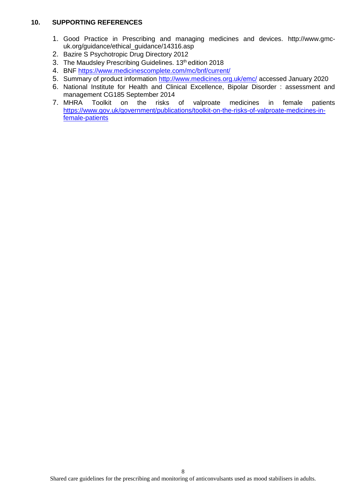## **10. SUPPORTING REFERENCES**

- 1. Good Practice in Prescribing and managing medicines and devices. http://www.gmcuk.org/guidance/ethical\_guidance/14316.asp
- 2. Bazire S Psychotropic Drug Directory 2012
- 3. The Maudsley Prescribing Guidelines. 13<sup>th</sup> edition 2018
- 4. BNF<https://www.medicinescomplete.com/mc/bnf/current/>
- 5. Summary of product information [http://www.medicines.org.uk/emc/](http://www.medicines.org.uk/emc/glossary.aspx?view=130) accessed January 2020
- 6. National Institute for Health and Clinical Excellence, Bipolar Disorder : assessment and management CG185 September 2014
- 7. MHRA Toolkit on the risks of valproate medicines in female patients [https://www.gov.uk/government/publications/toolkit-on-the-risks-of-valproate-medicines-in](https://www.gov.uk/government/publications/toolkit-on-the-risks-of-valproate-medicines-in-female-patients)[female-patients](https://www.gov.uk/government/publications/toolkit-on-the-risks-of-valproate-medicines-in-female-patients)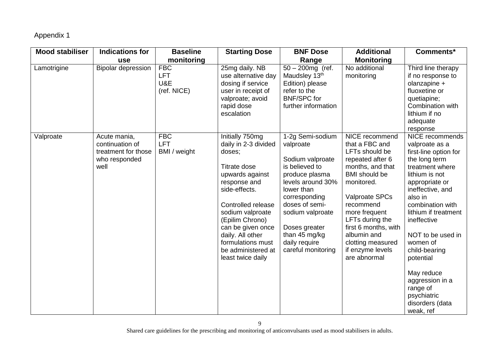## Appendix 1

<span id="page-8-0"></span>

| <b>Mood stabiliser</b> | <b>Indications for</b>                                                          | <b>Baseline</b>                                | <b>Starting Dose</b>                                                                                                                                                                                                                                                                        | <b>BNF Dose</b>                                                                                                                                                                                                                                          | <b>Additional</b>                                                                                                                                                                                                                                                                                          | Comments*                                                                                                                                                                                                                                                                                                                                                                               |
|------------------------|---------------------------------------------------------------------------------|------------------------------------------------|---------------------------------------------------------------------------------------------------------------------------------------------------------------------------------------------------------------------------------------------------------------------------------------------|----------------------------------------------------------------------------------------------------------------------------------------------------------------------------------------------------------------------------------------------------------|------------------------------------------------------------------------------------------------------------------------------------------------------------------------------------------------------------------------------------------------------------------------------------------------------------|-----------------------------------------------------------------------------------------------------------------------------------------------------------------------------------------------------------------------------------------------------------------------------------------------------------------------------------------------------------------------------------------|
|                        | use                                                                             | monitoring                                     |                                                                                                                                                                                                                                                                                             | Range                                                                                                                                                                                                                                                    | <b>Monitoring</b>                                                                                                                                                                                                                                                                                          |                                                                                                                                                                                                                                                                                                                                                                                         |
| Lamotrigine            | <b>Bipolar depression</b>                                                       | <b>FBC</b><br><b>LFT</b><br>U&E<br>(ref. NICE) | 25mg daily. NB<br>use alternative day<br>dosing if service<br>user in receipt of<br>valproate; avoid<br>rapid dose<br>escalation                                                                                                                                                            | $50 - 200$ mg (ref.<br>Maudsley 13th<br>Edition) please<br>refer to the<br><b>BNF/SPC for</b><br>further information                                                                                                                                     | No additional<br>monitoring                                                                                                                                                                                                                                                                                | Third line therapy<br>if no response to<br>olanzapine +<br>fluoxetine or<br>quetiapine;<br>Combination with<br>lithium if no<br>adequate<br>response                                                                                                                                                                                                                                    |
| Valproate              | Acute mania,<br>continuation of<br>treatment for those<br>who responded<br>well | <b>FBC</b><br><b>LFT</b><br>BMI / weight       | Initially 750mg<br>daily in 2-3 divided<br>doses;<br>Titrate dose<br>upwards against<br>response and<br>side-effects.<br>Controlled release<br>sodium valproate<br>(Epilim Chrono)<br>can be given once<br>daily. All other<br>formulations must<br>be administered at<br>least twice daily | 1-2g Semi-sodium<br>valproate<br>Sodium valproate<br>is believed to<br>produce plasma<br>levels around 30%<br>lower than<br>corresponding<br>doses of semi-<br>sodium valproate<br>Doses greater<br>than 45 mg/kg<br>daily require<br>careful monitoring | NICE recommend<br>that a FBC and<br>LFTs should be<br>repeated after 6<br>months, and that<br><b>BMI</b> should be<br>monitored.<br><b>Valproate SPCs</b><br>recommend<br>more frequent<br>LFTs during the<br>first 6 months, with<br>albumin and<br>clotting measured<br>if enzyme levels<br>are abnormal | NICE recommends<br>valproate as a<br>first-line option for<br>the long term<br>treatment where<br>lithium is not<br>appropriate or<br>ineffective, and<br>also in<br>combination with<br>lithium if treatment<br>ineffective<br>NOT to be used in<br>women of<br>child-bearing<br>potential<br>May reduce<br>aggression in a<br>range of<br>psychiatric<br>disorders (data<br>weak, ref |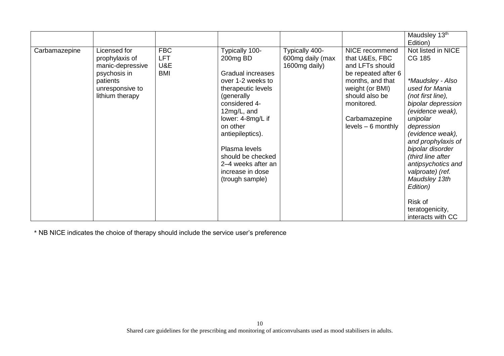|               |                                                                                                                      |                                        |                                                                                                                                                                                                                                                                                                          |                                                     |                                                                                                                                                                                            | Maudsley 13th<br>Edition)                                                                                                                                                                                                                                                                                                                                                |
|---------------|----------------------------------------------------------------------------------------------------------------------|----------------------------------------|----------------------------------------------------------------------------------------------------------------------------------------------------------------------------------------------------------------------------------------------------------------------------------------------------------|-----------------------------------------------------|--------------------------------------------------------------------------------------------------------------------------------------------------------------------------------------------|--------------------------------------------------------------------------------------------------------------------------------------------------------------------------------------------------------------------------------------------------------------------------------------------------------------------------------------------------------------------------|
| Carbamazepine | Licensed for<br>prophylaxis of<br>manic-depressive<br>psychosis in<br>patients<br>unresponsive to<br>lithium therapy | <b>FBC</b><br>LFT<br>U&E<br><b>BMI</b> | Typically 100-<br>200mg BD<br><b>Gradual increases</b><br>over 1-2 weeks to<br>therapeutic levels<br>(generally)<br>considered 4-<br>12mg/L, and<br>lower: 4-8mg/L if<br>on other<br>antiepileptics).<br>Plasma levels<br>should be checked<br>2–4 weeks after an<br>increase in dose<br>(trough sample) | Typically 400-<br>600mg daily (max<br>1600mg daily) | NICE recommend<br>that U&Es, FBC<br>and LFTs should<br>be repeated after 6<br>months, and that<br>weight (or BMI)<br>should also be<br>monitored.<br>Carbamazepine<br>$levels - 6 monthly$ | Not listed in NICE<br>CG 185<br>*Maudsley - Also<br>used for Mania<br>(not first line),<br>bipolar depression<br>(evidence weak),<br>unipolar<br>depression<br>(evidence weak),<br>and prophylaxis of<br>bipolar disorder<br>(third line after<br>antipsychotics and<br>valproate) (ref.<br>Maudsley 13th<br>Edition)<br>Risk of<br>teratogenicity,<br>interacts with CC |

\* NB NICE indicates the choice of therapy should include the service user's preference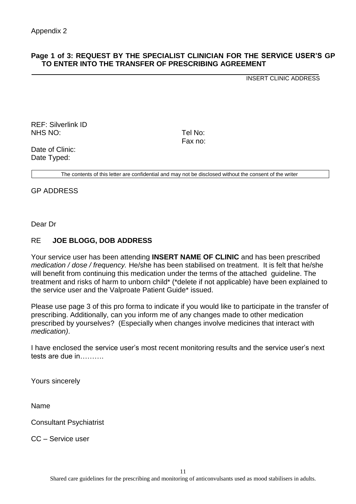## <span id="page-10-0"></span>**Page 1 of 3: REQUEST BY THE SPECIALIST CLINICIAN FOR THE SERVICE USER'S GP TO ENTER INTO THE TRANSFER OF PRESCRIBING AGREEMENT**

INSERT CLINIC ADDRESS

REF: Silverlink ID NHS NO: Tel No:

Fax no:

Date of Clinic: Date Typed:

The contents of this letter are confidential and may not be disclosed without the consent of the writer

GP ADDRESS

Dear Dr

## RE **JOE BLOGG, DOB ADDRESS**

Your service user has been attending **INSERT NAME OF CLINIC** and has been prescribed *medication / dose / frequency.* He/she has been stabilised on treatment. It is felt that he/she will benefit from continuing this medication under the terms of the attached guideline. The treatment and risks of harm to unborn child\* (\*delete if not applicable) have been explained to the service user and the Valproate Patient Guide\* issued.

Please use page 3 of this pro forma to indicate if you would like to participate in the transfer of prescribing. Additionally, can you inform me of any changes made to other medication prescribed by yourselves? (Especially when changes involve medicines that interact with *medication)*.

I have enclosed the service user's most recent monitoring results and the service user's next tests are due in……….

Yours sincerely

Name

Consultant Psychiatrist

CC – Service user

11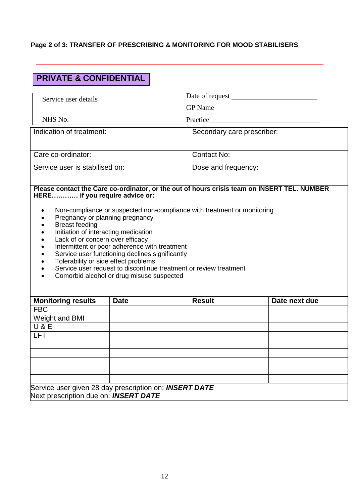## **Page 2 of 3: TRANSFER OF PRESCRIBING & MONITORING FOR MOOD STABILISERS**

# **PRIVATE & CONFIDENTIAL**

| Service user details                                                                                                                                                         |                                                                                                                                                                                                                                                                                               |                            |                                                                                             |
|------------------------------------------------------------------------------------------------------------------------------------------------------------------------------|-----------------------------------------------------------------------------------------------------------------------------------------------------------------------------------------------------------------------------------------------------------------------------------------------|----------------------------|---------------------------------------------------------------------------------------------|
|                                                                                                                                                                              |                                                                                                                                                                                                                                                                                               |                            | GP Name                                                                                     |
| NHS No.                                                                                                                                                                      | Practice Practice                                                                                                                                                                                                                                                                             |                            |                                                                                             |
| Indication of treatment:                                                                                                                                                     |                                                                                                                                                                                                                                                                                               | Secondary care prescriber: |                                                                                             |
|                                                                                                                                                                              |                                                                                                                                                                                                                                                                                               |                            |                                                                                             |
| Care co-ordinator:                                                                                                                                                           |                                                                                                                                                                                                                                                                                               | Contact No:                |                                                                                             |
| Service user is stabilised on:                                                                                                                                               |                                                                                                                                                                                                                                                                                               | Dose and frequency:        |                                                                                             |
| HERE if you require advice or:                                                                                                                                               |                                                                                                                                                                                                                                                                                               |                            | Please contact the Care co-ordinator, or the out of hours crisis team on INSERT TEL. NUMBER |
| Pregnancy or planning pregnancy<br><b>Breast feeding</b><br>Initiation of interacting medication<br>Lack of or concern over efficacy<br>Tolerability or side effect problems | Non-compliance or suspected non-compliance with treatment or monitoring<br>Intermittent or poor adherence with treatment<br>Service user functioning declines significantly<br>Service user request to discontinue treatment or review treatment<br>Comorbid alcohol or drug misuse suspected |                            |                                                                                             |
| <b>Monitoring results</b>                                                                                                                                                    | <b>Date</b>                                                                                                                                                                                                                                                                                   | <b>Result</b>              | Date next due                                                                               |
| <b>FBC</b>                                                                                                                                                                   |                                                                                                                                                                                                                                                                                               |                            |                                                                                             |
| Weight and BMI<br><b>U&amp;E</b>                                                                                                                                             |                                                                                                                                                                                                                                                                                               |                            |                                                                                             |
| <b>LFT</b>                                                                                                                                                                   |                                                                                                                                                                                                                                                                                               |                            |                                                                                             |
|                                                                                                                                                                              |                                                                                                                                                                                                                                                                                               |                            |                                                                                             |
|                                                                                                                                                                              |                                                                                                                                                                                                                                                                                               |                            |                                                                                             |
|                                                                                                                                                                              |                                                                                                                                                                                                                                                                                               |                            |                                                                                             |
|                                                                                                                                                                              |                                                                                                                                                                                                                                                                                               |                            |                                                                                             |
|                                                                                                                                                                              |                                                                                                                                                                                                                                                                                               |                            |                                                                                             |
| Service user given 28 day prescription on: INSERT DATE<br>Next prescription due on: INSERT DATE                                                                              |                                                                                                                                                                                                                                                                                               |                            |                                                                                             |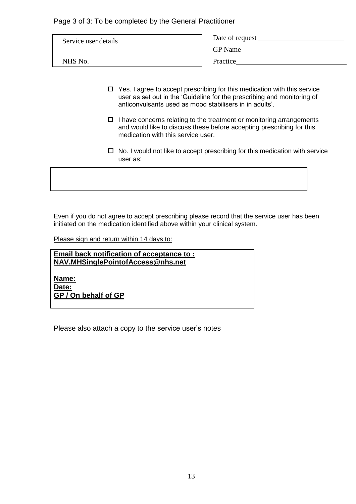Page 3 of 3: To be completed by the General Practitioner

| Service user details | Date of request<br><b>GP</b> Name |
|----------------------|-----------------------------------|
| NHS No.              | Practice                          |

- $\Box$  Yes. I agree to accept prescribing for this medication with this service user as set out in the 'Guideline for the prescribing and monitoring of anticonvulsants used as mood stabilisers in in adults'.
- $\Box$  I have concerns relating to the treatment or monitoring arrangements and would like to discuss these before accepting prescribing for this medication with this service user.
- $\Box$  No. I would not like to accept prescribing for this medication with service user as:

Even if you do not agree to accept prescribing please record that the service user has been initiated on the medication identified above within your clinical system.

Please sign and return within 14 days to:

**Email back notification of acceptance to : NAV.MHSinglePointofAccess@nhs.net**

**Name: Date: GP / On behalf of GP**

Please also attach a copy to the service user's notes